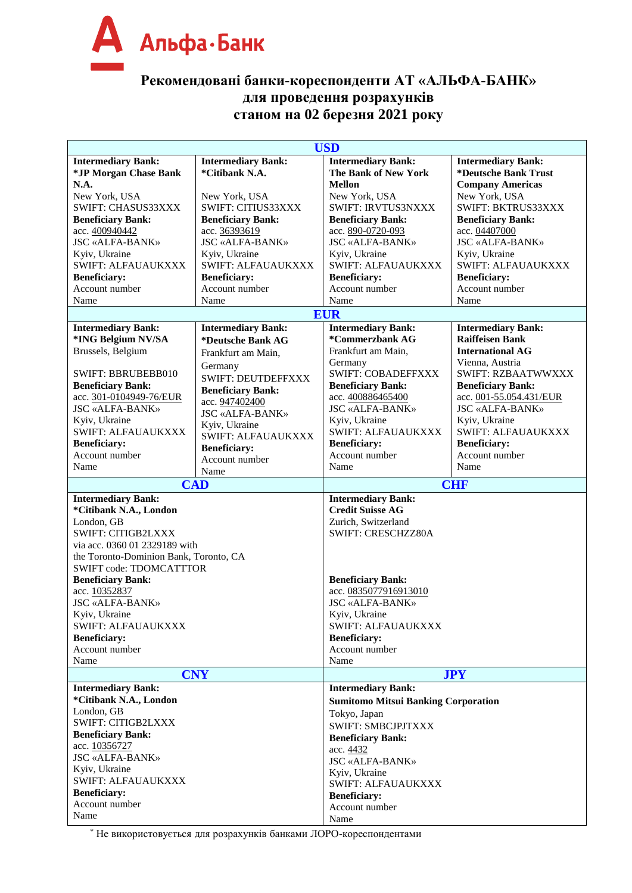

## **Рекомендовані банки-кореспонденти АТ «АЛЬФА-БАНК» для проведення розрахунків станом на 02 березня 2021 року**

| <b>Intermediary Bank:</b><br><b>Intermediary Bank:</b><br><b>Intermediary Bank:</b><br><b>Intermediary Bank:</b><br>*Citibank N.A.<br>*Deutsche Bank Trust<br>*JP Morgan Chase Bank<br>The Bank of New York<br>N.A.<br><b>Mellon</b><br><b>Company Americas</b><br>New York, USA<br>New York, USA<br>New York, USA<br>New York, USA<br>SWIFT: CHASUS33XXX<br>SWIFT: CITIUS33XXX<br>SWIFT: IRVTUS3NXXX<br>SWIFT: BKTRUS33XXX<br><b>Beneficiary Bank:</b><br><b>Beneficiary Bank:</b><br><b>Beneficiary Bank:</b><br><b>Beneficiary Bank:</b><br>acc. 400940442<br>acc. 36393619<br>acc. 890-0720-093<br>acc. 04407000<br><b>JSC «ALFA-BANK»</b><br><b>JSC «ALFA-BANK»</b><br><b>JSC «ALFA-BANK»</b><br><b>JSC «ALFA-BANK»</b><br>Kyiv, Ukraine<br>Kyiv, Ukraine<br>Kyiv, Ukraine<br>Kyiv, Ukraine<br>SWIFT: ALFAUAUKXXX<br>SWIFT: ALFAUAUKXXX<br>SWIFT: ALFAUAUKXXX<br>SWIFT: ALFAUAUKXXX<br><b>Beneficiary:</b><br><b>Beneficiary:</b><br><b>Beneficiary:</b><br><b>Beneficiary:</b><br>Account number<br>Account number<br>Account number<br>Account number<br>Name<br>Name<br>Name<br>Name<br><b>EUR</b><br><b>Intermediary Bank:</b><br><b>Intermediary Bank:</b><br><b>Intermediary Bank:</b><br><b>Intermediary Bank:</b><br>*ING Belgium NV/SA<br>*Commerzbank AG<br><b>Raiffeisen Bank</b><br>*Deutsche Bank AG<br>Brussels, Belgium<br>Frankfurt am Main,<br><b>International AG</b><br>Frankfurt am Main,<br>Vienna, Austria<br>Germany<br>Germany<br><b>SWIFT: COBADEFFXXX</b><br>SWIFT: BBRUBEBB010<br>SWIFT: RZBAATWWXXX<br><b>SWIFT: DEUTDEFFXXX</b><br><b>Beneficiary Bank:</b><br><b>Beneficiary Bank:</b><br><b>Beneficiary Bank:</b><br><b>Beneficiary Bank:</b><br>acc. 301-0104949-76/EUR<br>acc. 400886465400<br>acc. 001-55.054.431/EUR<br>acc. 947402400<br><b>JSC «ALFA-BANK»</b><br><b>JSC «ALFA-BANK»</b><br><b>JSC «ALFA-BANK»</b><br><b>JSC «ALFA-BANK»</b><br>Kyiv, Ukraine<br>Kyiv, Ukraine<br>Kyiv, Ukraine<br>Kyiv, Ukraine<br>SWIFT: ALFAUAUKXXX<br>SWIFT: ALFAUAUKXXX<br>SWIFT: ALFAUAUKXXX<br>SWIFT: ALFAUAUKXXX<br><b>Beneficiary:</b><br><b>Beneficiary:</b><br><b>Beneficiary:</b><br><b>Beneficiary:</b><br>Account number<br>Account number<br>Account number<br>Account number<br>Name<br>Name<br>Name<br>Name<br><b>CAD</b><br><b>CHF</b><br><b>Intermediary Bank:</b><br><b>Intermediary Bank:</b><br><b>Credit Suisse AG</b><br>*Citibank N.A., London<br>London, GB<br>Zurich, Switzerland<br><b>SWIFT: CITIGB2LXXX</b><br>SWIFT: CRESCHZZ80A<br>via acc. 0360 01 2329189 with<br>the Toronto-Dominion Bank, Toronto, CA<br><b>SWIFT code: TDOMCATTTOR</b><br><b>Beneficiary Bank:</b><br><b>Beneficiary Bank:</b><br>acc. 10352837<br>acc. 0835077916913010<br><b>JSC «ALFA-BANK»</b><br><b>JSC «ALFA-BANK»</b><br>Kyiv, Ukraine<br>Kyiv, Ukraine<br>SWIFT: ALFAUAUKXXX<br>SWIFT: ALFAUAUKXXX<br><b>Beneficiary:</b><br><b>Beneficiary:</b><br>Account number<br>Account number<br>Name<br>Name<br><b>CNY</b><br><b>JPY</b><br><b>Intermediary Bank:</b><br><b>Intermediary Bank:</b><br>*Citibank N.A., London<br><b>Sumitomo Mitsui Banking Corporation</b><br>London, GB<br>Tokyo, Japan<br>SWIFT: CITIGB2LXXX<br><b>SWIFT: SMBCJPJTXXX</b><br><b>Beneficiary Bank:</b><br><b>Beneficiary Bank:</b><br>acc. 10356727<br>acc. 4432<br><b>JSC «ALFA-BANK»</b><br><b>JSC «ALFA-BANK»</b><br>Kyiv, Ukraine<br>Kyiv, Ukraine<br>SWIFT: ALFAUAUKXXX<br>SWIFT: ALFAUAUKXXX<br><b>Beneficiary:</b><br><b>Beneficiary:</b><br>Account number<br>Account number<br>Name<br>Name | <b>USD</b> |  |  |  |  |
|-----------------------------------------------------------------------------------------------------------------------------------------------------------------------------------------------------------------------------------------------------------------------------------------------------------------------------------------------------------------------------------------------------------------------------------------------------------------------------------------------------------------------------------------------------------------------------------------------------------------------------------------------------------------------------------------------------------------------------------------------------------------------------------------------------------------------------------------------------------------------------------------------------------------------------------------------------------------------------------------------------------------------------------------------------------------------------------------------------------------------------------------------------------------------------------------------------------------------------------------------------------------------------------------------------------------------------------------------------------------------------------------------------------------------------------------------------------------------------------------------------------------------------------------------------------------------------------------------------------------------------------------------------------------------------------------------------------------------------------------------------------------------------------------------------------------------------------------------------------------------------------------------------------------------------------------------------------------------------------------------------------------------------------------------------------------------------------------------------------------------------------------------------------------------------------------------------------------------------------------------------------------------------------------------------------------------------------------------------------------------------------------------------------------------------------------------------------------------------------------------------------------------------------------------------------------------------------------------------------------------------------------------------------------------------------------------------------------------------------------------------------------------------------------------------------------------------------------------------------------------------------------------------------------------------------------------------------------------------------------------------------------------------------------------------------------------------------------------------------------------------------------------------------------------------------------------------------------------------------------------------------------------------------------------------------------------------------------------------------------------------------------------------------------------------------------------------------------------------------------------------------------------|------------|--|--|--|--|
|                                                                                                                                                                                                                                                                                                                                                                                                                                                                                                                                                                                                                                                                                                                                                                                                                                                                                                                                                                                                                                                                                                                                                                                                                                                                                                                                                                                                                                                                                                                                                                                                                                                                                                                                                                                                                                                                                                                                                                                                                                                                                                                                                                                                                                                                                                                                                                                                                                                                                                                                                                                                                                                                                                                                                                                                                                                                                                                                                                                                                                                                                                                                                                                                                                                                                                                                                                                                                                                                                                                       |            |  |  |  |  |
|                                                                                                                                                                                                                                                                                                                                                                                                                                                                                                                                                                                                                                                                                                                                                                                                                                                                                                                                                                                                                                                                                                                                                                                                                                                                                                                                                                                                                                                                                                                                                                                                                                                                                                                                                                                                                                                                                                                                                                                                                                                                                                                                                                                                                                                                                                                                                                                                                                                                                                                                                                                                                                                                                                                                                                                                                                                                                                                                                                                                                                                                                                                                                                                                                                                                                                                                                                                                                                                                                                                       |            |  |  |  |  |
|                                                                                                                                                                                                                                                                                                                                                                                                                                                                                                                                                                                                                                                                                                                                                                                                                                                                                                                                                                                                                                                                                                                                                                                                                                                                                                                                                                                                                                                                                                                                                                                                                                                                                                                                                                                                                                                                                                                                                                                                                                                                                                                                                                                                                                                                                                                                                                                                                                                                                                                                                                                                                                                                                                                                                                                                                                                                                                                                                                                                                                                                                                                                                                                                                                                                                                                                                                                                                                                                                                                       |            |  |  |  |  |
|                                                                                                                                                                                                                                                                                                                                                                                                                                                                                                                                                                                                                                                                                                                                                                                                                                                                                                                                                                                                                                                                                                                                                                                                                                                                                                                                                                                                                                                                                                                                                                                                                                                                                                                                                                                                                                                                                                                                                                                                                                                                                                                                                                                                                                                                                                                                                                                                                                                                                                                                                                                                                                                                                                                                                                                                                                                                                                                                                                                                                                                                                                                                                                                                                                                                                                                                                                                                                                                                                                                       |            |  |  |  |  |
|                                                                                                                                                                                                                                                                                                                                                                                                                                                                                                                                                                                                                                                                                                                                                                                                                                                                                                                                                                                                                                                                                                                                                                                                                                                                                                                                                                                                                                                                                                                                                                                                                                                                                                                                                                                                                                                                                                                                                                                                                                                                                                                                                                                                                                                                                                                                                                                                                                                                                                                                                                                                                                                                                                                                                                                                                                                                                                                                                                                                                                                                                                                                                                                                                                                                                                                                                                                                                                                                                                                       |            |  |  |  |  |
|                                                                                                                                                                                                                                                                                                                                                                                                                                                                                                                                                                                                                                                                                                                                                                                                                                                                                                                                                                                                                                                                                                                                                                                                                                                                                                                                                                                                                                                                                                                                                                                                                                                                                                                                                                                                                                                                                                                                                                                                                                                                                                                                                                                                                                                                                                                                                                                                                                                                                                                                                                                                                                                                                                                                                                                                                                                                                                                                                                                                                                                                                                                                                                                                                                                                                                                                                                                                                                                                                                                       |            |  |  |  |  |
|                                                                                                                                                                                                                                                                                                                                                                                                                                                                                                                                                                                                                                                                                                                                                                                                                                                                                                                                                                                                                                                                                                                                                                                                                                                                                                                                                                                                                                                                                                                                                                                                                                                                                                                                                                                                                                                                                                                                                                                                                                                                                                                                                                                                                                                                                                                                                                                                                                                                                                                                                                                                                                                                                                                                                                                                                                                                                                                                                                                                                                                                                                                                                                                                                                                                                                                                                                                                                                                                                                                       |            |  |  |  |  |
|                                                                                                                                                                                                                                                                                                                                                                                                                                                                                                                                                                                                                                                                                                                                                                                                                                                                                                                                                                                                                                                                                                                                                                                                                                                                                                                                                                                                                                                                                                                                                                                                                                                                                                                                                                                                                                                                                                                                                                                                                                                                                                                                                                                                                                                                                                                                                                                                                                                                                                                                                                                                                                                                                                                                                                                                                                                                                                                                                                                                                                                                                                                                                                                                                                                                                                                                                                                                                                                                                                                       |            |  |  |  |  |
|                                                                                                                                                                                                                                                                                                                                                                                                                                                                                                                                                                                                                                                                                                                                                                                                                                                                                                                                                                                                                                                                                                                                                                                                                                                                                                                                                                                                                                                                                                                                                                                                                                                                                                                                                                                                                                                                                                                                                                                                                                                                                                                                                                                                                                                                                                                                                                                                                                                                                                                                                                                                                                                                                                                                                                                                                                                                                                                                                                                                                                                                                                                                                                                                                                                                                                                                                                                                                                                                                                                       |            |  |  |  |  |
|                                                                                                                                                                                                                                                                                                                                                                                                                                                                                                                                                                                                                                                                                                                                                                                                                                                                                                                                                                                                                                                                                                                                                                                                                                                                                                                                                                                                                                                                                                                                                                                                                                                                                                                                                                                                                                                                                                                                                                                                                                                                                                                                                                                                                                                                                                                                                                                                                                                                                                                                                                                                                                                                                                                                                                                                                                                                                                                                                                                                                                                                                                                                                                                                                                                                                                                                                                                                                                                                                                                       |            |  |  |  |  |
|                                                                                                                                                                                                                                                                                                                                                                                                                                                                                                                                                                                                                                                                                                                                                                                                                                                                                                                                                                                                                                                                                                                                                                                                                                                                                                                                                                                                                                                                                                                                                                                                                                                                                                                                                                                                                                                                                                                                                                                                                                                                                                                                                                                                                                                                                                                                                                                                                                                                                                                                                                                                                                                                                                                                                                                                                                                                                                                                                                                                                                                                                                                                                                                                                                                                                                                                                                                                                                                                                                                       |            |  |  |  |  |
|                                                                                                                                                                                                                                                                                                                                                                                                                                                                                                                                                                                                                                                                                                                                                                                                                                                                                                                                                                                                                                                                                                                                                                                                                                                                                                                                                                                                                                                                                                                                                                                                                                                                                                                                                                                                                                                                                                                                                                                                                                                                                                                                                                                                                                                                                                                                                                                                                                                                                                                                                                                                                                                                                                                                                                                                                                                                                                                                                                                                                                                                                                                                                                                                                                                                                                                                                                                                                                                                                                                       |            |  |  |  |  |
|                                                                                                                                                                                                                                                                                                                                                                                                                                                                                                                                                                                                                                                                                                                                                                                                                                                                                                                                                                                                                                                                                                                                                                                                                                                                                                                                                                                                                                                                                                                                                                                                                                                                                                                                                                                                                                                                                                                                                                                                                                                                                                                                                                                                                                                                                                                                                                                                                                                                                                                                                                                                                                                                                                                                                                                                                                                                                                                                                                                                                                                                                                                                                                                                                                                                                                                                                                                                                                                                                                                       |            |  |  |  |  |
|                                                                                                                                                                                                                                                                                                                                                                                                                                                                                                                                                                                                                                                                                                                                                                                                                                                                                                                                                                                                                                                                                                                                                                                                                                                                                                                                                                                                                                                                                                                                                                                                                                                                                                                                                                                                                                                                                                                                                                                                                                                                                                                                                                                                                                                                                                                                                                                                                                                                                                                                                                                                                                                                                                                                                                                                                                                                                                                                                                                                                                                                                                                                                                                                                                                                                                                                                                                                                                                                                                                       |            |  |  |  |  |
|                                                                                                                                                                                                                                                                                                                                                                                                                                                                                                                                                                                                                                                                                                                                                                                                                                                                                                                                                                                                                                                                                                                                                                                                                                                                                                                                                                                                                                                                                                                                                                                                                                                                                                                                                                                                                                                                                                                                                                                                                                                                                                                                                                                                                                                                                                                                                                                                                                                                                                                                                                                                                                                                                                                                                                                                                                                                                                                                                                                                                                                                                                                                                                                                                                                                                                                                                                                                                                                                                                                       |            |  |  |  |  |
|                                                                                                                                                                                                                                                                                                                                                                                                                                                                                                                                                                                                                                                                                                                                                                                                                                                                                                                                                                                                                                                                                                                                                                                                                                                                                                                                                                                                                                                                                                                                                                                                                                                                                                                                                                                                                                                                                                                                                                                                                                                                                                                                                                                                                                                                                                                                                                                                                                                                                                                                                                                                                                                                                                                                                                                                                                                                                                                                                                                                                                                                                                                                                                                                                                                                                                                                                                                                                                                                                                                       |            |  |  |  |  |
|                                                                                                                                                                                                                                                                                                                                                                                                                                                                                                                                                                                                                                                                                                                                                                                                                                                                                                                                                                                                                                                                                                                                                                                                                                                                                                                                                                                                                                                                                                                                                                                                                                                                                                                                                                                                                                                                                                                                                                                                                                                                                                                                                                                                                                                                                                                                                                                                                                                                                                                                                                                                                                                                                                                                                                                                                                                                                                                                                                                                                                                                                                                                                                                                                                                                                                                                                                                                                                                                                                                       |            |  |  |  |  |
|                                                                                                                                                                                                                                                                                                                                                                                                                                                                                                                                                                                                                                                                                                                                                                                                                                                                                                                                                                                                                                                                                                                                                                                                                                                                                                                                                                                                                                                                                                                                                                                                                                                                                                                                                                                                                                                                                                                                                                                                                                                                                                                                                                                                                                                                                                                                                                                                                                                                                                                                                                                                                                                                                                                                                                                                                                                                                                                                                                                                                                                                                                                                                                                                                                                                                                                                                                                                                                                                                                                       |            |  |  |  |  |
|                                                                                                                                                                                                                                                                                                                                                                                                                                                                                                                                                                                                                                                                                                                                                                                                                                                                                                                                                                                                                                                                                                                                                                                                                                                                                                                                                                                                                                                                                                                                                                                                                                                                                                                                                                                                                                                                                                                                                                                                                                                                                                                                                                                                                                                                                                                                                                                                                                                                                                                                                                                                                                                                                                                                                                                                                                                                                                                                                                                                                                                                                                                                                                                                                                                                                                                                                                                                                                                                                                                       |            |  |  |  |  |
|                                                                                                                                                                                                                                                                                                                                                                                                                                                                                                                                                                                                                                                                                                                                                                                                                                                                                                                                                                                                                                                                                                                                                                                                                                                                                                                                                                                                                                                                                                                                                                                                                                                                                                                                                                                                                                                                                                                                                                                                                                                                                                                                                                                                                                                                                                                                                                                                                                                                                                                                                                                                                                                                                                                                                                                                                                                                                                                                                                                                                                                                                                                                                                                                                                                                                                                                                                                                                                                                                                                       |            |  |  |  |  |
|                                                                                                                                                                                                                                                                                                                                                                                                                                                                                                                                                                                                                                                                                                                                                                                                                                                                                                                                                                                                                                                                                                                                                                                                                                                                                                                                                                                                                                                                                                                                                                                                                                                                                                                                                                                                                                                                                                                                                                                                                                                                                                                                                                                                                                                                                                                                                                                                                                                                                                                                                                                                                                                                                                                                                                                                                                                                                                                                                                                                                                                                                                                                                                                                                                                                                                                                                                                                                                                                                                                       |            |  |  |  |  |
|                                                                                                                                                                                                                                                                                                                                                                                                                                                                                                                                                                                                                                                                                                                                                                                                                                                                                                                                                                                                                                                                                                                                                                                                                                                                                                                                                                                                                                                                                                                                                                                                                                                                                                                                                                                                                                                                                                                                                                                                                                                                                                                                                                                                                                                                                                                                                                                                                                                                                                                                                                                                                                                                                                                                                                                                                                                                                                                                                                                                                                                                                                                                                                                                                                                                                                                                                                                                                                                                                                                       |            |  |  |  |  |
|                                                                                                                                                                                                                                                                                                                                                                                                                                                                                                                                                                                                                                                                                                                                                                                                                                                                                                                                                                                                                                                                                                                                                                                                                                                                                                                                                                                                                                                                                                                                                                                                                                                                                                                                                                                                                                                                                                                                                                                                                                                                                                                                                                                                                                                                                                                                                                                                                                                                                                                                                                                                                                                                                                                                                                                                                                                                                                                                                                                                                                                                                                                                                                                                                                                                                                                                                                                                                                                                                                                       |            |  |  |  |  |
|                                                                                                                                                                                                                                                                                                                                                                                                                                                                                                                                                                                                                                                                                                                                                                                                                                                                                                                                                                                                                                                                                                                                                                                                                                                                                                                                                                                                                                                                                                                                                                                                                                                                                                                                                                                                                                                                                                                                                                                                                                                                                                                                                                                                                                                                                                                                                                                                                                                                                                                                                                                                                                                                                                                                                                                                                                                                                                                                                                                                                                                                                                                                                                                                                                                                                                                                                                                                                                                                                                                       |            |  |  |  |  |
|                                                                                                                                                                                                                                                                                                                                                                                                                                                                                                                                                                                                                                                                                                                                                                                                                                                                                                                                                                                                                                                                                                                                                                                                                                                                                                                                                                                                                                                                                                                                                                                                                                                                                                                                                                                                                                                                                                                                                                                                                                                                                                                                                                                                                                                                                                                                                                                                                                                                                                                                                                                                                                                                                                                                                                                                                                                                                                                                                                                                                                                                                                                                                                                                                                                                                                                                                                                                                                                                                                                       |            |  |  |  |  |
|                                                                                                                                                                                                                                                                                                                                                                                                                                                                                                                                                                                                                                                                                                                                                                                                                                                                                                                                                                                                                                                                                                                                                                                                                                                                                                                                                                                                                                                                                                                                                                                                                                                                                                                                                                                                                                                                                                                                                                                                                                                                                                                                                                                                                                                                                                                                                                                                                                                                                                                                                                                                                                                                                                                                                                                                                                                                                                                                                                                                                                                                                                                                                                                                                                                                                                                                                                                                                                                                                                                       |            |  |  |  |  |
|                                                                                                                                                                                                                                                                                                                                                                                                                                                                                                                                                                                                                                                                                                                                                                                                                                                                                                                                                                                                                                                                                                                                                                                                                                                                                                                                                                                                                                                                                                                                                                                                                                                                                                                                                                                                                                                                                                                                                                                                                                                                                                                                                                                                                                                                                                                                                                                                                                                                                                                                                                                                                                                                                                                                                                                                                                                                                                                                                                                                                                                                                                                                                                                                                                                                                                                                                                                                                                                                                                                       |            |  |  |  |  |
|                                                                                                                                                                                                                                                                                                                                                                                                                                                                                                                                                                                                                                                                                                                                                                                                                                                                                                                                                                                                                                                                                                                                                                                                                                                                                                                                                                                                                                                                                                                                                                                                                                                                                                                                                                                                                                                                                                                                                                                                                                                                                                                                                                                                                                                                                                                                                                                                                                                                                                                                                                                                                                                                                                                                                                                                                                                                                                                                                                                                                                                                                                                                                                                                                                                                                                                                                                                                                                                                                                                       |            |  |  |  |  |
|                                                                                                                                                                                                                                                                                                                                                                                                                                                                                                                                                                                                                                                                                                                                                                                                                                                                                                                                                                                                                                                                                                                                                                                                                                                                                                                                                                                                                                                                                                                                                                                                                                                                                                                                                                                                                                                                                                                                                                                                                                                                                                                                                                                                                                                                                                                                                                                                                                                                                                                                                                                                                                                                                                                                                                                                                                                                                                                                                                                                                                                                                                                                                                                                                                                                                                                                                                                                                                                                                                                       |            |  |  |  |  |
|                                                                                                                                                                                                                                                                                                                                                                                                                                                                                                                                                                                                                                                                                                                                                                                                                                                                                                                                                                                                                                                                                                                                                                                                                                                                                                                                                                                                                                                                                                                                                                                                                                                                                                                                                                                                                                                                                                                                                                                                                                                                                                                                                                                                                                                                                                                                                                                                                                                                                                                                                                                                                                                                                                                                                                                                                                                                                                                                                                                                                                                                                                                                                                                                                                                                                                                                                                                                                                                                                                                       |            |  |  |  |  |
|                                                                                                                                                                                                                                                                                                                                                                                                                                                                                                                                                                                                                                                                                                                                                                                                                                                                                                                                                                                                                                                                                                                                                                                                                                                                                                                                                                                                                                                                                                                                                                                                                                                                                                                                                                                                                                                                                                                                                                                                                                                                                                                                                                                                                                                                                                                                                                                                                                                                                                                                                                                                                                                                                                                                                                                                                                                                                                                                                                                                                                                                                                                                                                                                                                                                                                                                                                                                                                                                                                                       |            |  |  |  |  |
|                                                                                                                                                                                                                                                                                                                                                                                                                                                                                                                                                                                                                                                                                                                                                                                                                                                                                                                                                                                                                                                                                                                                                                                                                                                                                                                                                                                                                                                                                                                                                                                                                                                                                                                                                                                                                                                                                                                                                                                                                                                                                                                                                                                                                                                                                                                                                                                                                                                                                                                                                                                                                                                                                                                                                                                                                                                                                                                                                                                                                                                                                                                                                                                                                                                                                                                                                                                                                                                                                                                       |            |  |  |  |  |
|                                                                                                                                                                                                                                                                                                                                                                                                                                                                                                                                                                                                                                                                                                                                                                                                                                                                                                                                                                                                                                                                                                                                                                                                                                                                                                                                                                                                                                                                                                                                                                                                                                                                                                                                                                                                                                                                                                                                                                                                                                                                                                                                                                                                                                                                                                                                                                                                                                                                                                                                                                                                                                                                                                                                                                                                                                                                                                                                                                                                                                                                                                                                                                                                                                                                                                                                                                                                                                                                                                                       |            |  |  |  |  |
|                                                                                                                                                                                                                                                                                                                                                                                                                                                                                                                                                                                                                                                                                                                                                                                                                                                                                                                                                                                                                                                                                                                                                                                                                                                                                                                                                                                                                                                                                                                                                                                                                                                                                                                                                                                                                                                                                                                                                                                                                                                                                                                                                                                                                                                                                                                                                                                                                                                                                                                                                                                                                                                                                                                                                                                                                                                                                                                                                                                                                                                                                                                                                                                                                                                                                                                                                                                                                                                                                                                       |            |  |  |  |  |
|                                                                                                                                                                                                                                                                                                                                                                                                                                                                                                                                                                                                                                                                                                                                                                                                                                                                                                                                                                                                                                                                                                                                                                                                                                                                                                                                                                                                                                                                                                                                                                                                                                                                                                                                                                                                                                                                                                                                                                                                                                                                                                                                                                                                                                                                                                                                                                                                                                                                                                                                                                                                                                                                                                                                                                                                                                                                                                                                                                                                                                                                                                                                                                                                                                                                                                                                                                                                                                                                                                                       |            |  |  |  |  |
|                                                                                                                                                                                                                                                                                                                                                                                                                                                                                                                                                                                                                                                                                                                                                                                                                                                                                                                                                                                                                                                                                                                                                                                                                                                                                                                                                                                                                                                                                                                                                                                                                                                                                                                                                                                                                                                                                                                                                                                                                                                                                                                                                                                                                                                                                                                                                                                                                                                                                                                                                                                                                                                                                                                                                                                                                                                                                                                                                                                                                                                                                                                                                                                                                                                                                                                                                                                                                                                                                                                       |            |  |  |  |  |
|                                                                                                                                                                                                                                                                                                                                                                                                                                                                                                                                                                                                                                                                                                                                                                                                                                                                                                                                                                                                                                                                                                                                                                                                                                                                                                                                                                                                                                                                                                                                                                                                                                                                                                                                                                                                                                                                                                                                                                                                                                                                                                                                                                                                                                                                                                                                                                                                                                                                                                                                                                                                                                                                                                                                                                                                                                                                                                                                                                                                                                                                                                                                                                                                                                                                                                                                                                                                                                                                                                                       |            |  |  |  |  |
|                                                                                                                                                                                                                                                                                                                                                                                                                                                                                                                                                                                                                                                                                                                                                                                                                                                                                                                                                                                                                                                                                                                                                                                                                                                                                                                                                                                                                                                                                                                                                                                                                                                                                                                                                                                                                                                                                                                                                                                                                                                                                                                                                                                                                                                                                                                                                                                                                                                                                                                                                                                                                                                                                                                                                                                                                                                                                                                                                                                                                                                                                                                                                                                                                                                                                                                                                                                                                                                                                                                       |            |  |  |  |  |
|                                                                                                                                                                                                                                                                                                                                                                                                                                                                                                                                                                                                                                                                                                                                                                                                                                                                                                                                                                                                                                                                                                                                                                                                                                                                                                                                                                                                                                                                                                                                                                                                                                                                                                                                                                                                                                                                                                                                                                                                                                                                                                                                                                                                                                                                                                                                                                                                                                                                                                                                                                                                                                                                                                                                                                                                                                                                                                                                                                                                                                                                                                                                                                                                                                                                                                                                                                                                                                                                                                                       |            |  |  |  |  |
|                                                                                                                                                                                                                                                                                                                                                                                                                                                                                                                                                                                                                                                                                                                                                                                                                                                                                                                                                                                                                                                                                                                                                                                                                                                                                                                                                                                                                                                                                                                                                                                                                                                                                                                                                                                                                                                                                                                                                                                                                                                                                                                                                                                                                                                                                                                                                                                                                                                                                                                                                                                                                                                                                                                                                                                                                                                                                                                                                                                                                                                                                                                                                                                                                                                                                                                                                                                                                                                                                                                       |            |  |  |  |  |
|                                                                                                                                                                                                                                                                                                                                                                                                                                                                                                                                                                                                                                                                                                                                                                                                                                                                                                                                                                                                                                                                                                                                                                                                                                                                                                                                                                                                                                                                                                                                                                                                                                                                                                                                                                                                                                                                                                                                                                                                                                                                                                                                                                                                                                                                                                                                                                                                                                                                                                                                                                                                                                                                                                                                                                                                                                                                                                                                                                                                                                                                                                                                                                                                                                                                                                                                                                                                                                                                                                                       |            |  |  |  |  |
|                                                                                                                                                                                                                                                                                                                                                                                                                                                                                                                                                                                                                                                                                                                                                                                                                                                                                                                                                                                                                                                                                                                                                                                                                                                                                                                                                                                                                                                                                                                                                                                                                                                                                                                                                                                                                                                                                                                                                                                                                                                                                                                                                                                                                                                                                                                                                                                                                                                                                                                                                                                                                                                                                                                                                                                                                                                                                                                                                                                                                                                                                                                                                                                                                                                                                                                                                                                                                                                                                                                       |            |  |  |  |  |
|                                                                                                                                                                                                                                                                                                                                                                                                                                                                                                                                                                                                                                                                                                                                                                                                                                                                                                                                                                                                                                                                                                                                                                                                                                                                                                                                                                                                                                                                                                                                                                                                                                                                                                                                                                                                                                                                                                                                                                                                                                                                                                                                                                                                                                                                                                                                                                                                                                                                                                                                                                                                                                                                                                                                                                                                                                                                                                                                                                                                                                                                                                                                                                                                                                                                                                                                                                                                                                                                                                                       |            |  |  |  |  |
|                                                                                                                                                                                                                                                                                                                                                                                                                                                                                                                                                                                                                                                                                                                                                                                                                                                                                                                                                                                                                                                                                                                                                                                                                                                                                                                                                                                                                                                                                                                                                                                                                                                                                                                                                                                                                                                                                                                                                                                                                                                                                                                                                                                                                                                                                                                                                                                                                                                                                                                                                                                                                                                                                                                                                                                                                                                                                                                                                                                                                                                                                                                                                                                                                                                                                                                                                                                                                                                                                                                       |            |  |  |  |  |
|                                                                                                                                                                                                                                                                                                                                                                                                                                                                                                                                                                                                                                                                                                                                                                                                                                                                                                                                                                                                                                                                                                                                                                                                                                                                                                                                                                                                                                                                                                                                                                                                                                                                                                                                                                                                                                                                                                                                                                                                                                                                                                                                                                                                                                                                                                                                                                                                                                                                                                                                                                                                                                                                                                                                                                                                                                                                                                                                                                                                                                                                                                                                                                                                                                                                                                                                                                                                                                                                                                                       |            |  |  |  |  |
|                                                                                                                                                                                                                                                                                                                                                                                                                                                                                                                                                                                                                                                                                                                                                                                                                                                                                                                                                                                                                                                                                                                                                                                                                                                                                                                                                                                                                                                                                                                                                                                                                                                                                                                                                                                                                                                                                                                                                                                                                                                                                                                                                                                                                                                                                                                                                                                                                                                                                                                                                                                                                                                                                                                                                                                                                                                                                                                                                                                                                                                                                                                                                                                                                                                                                                                                                                                                                                                                                                                       |            |  |  |  |  |
|                                                                                                                                                                                                                                                                                                                                                                                                                                                                                                                                                                                                                                                                                                                                                                                                                                                                                                                                                                                                                                                                                                                                                                                                                                                                                                                                                                                                                                                                                                                                                                                                                                                                                                                                                                                                                                                                                                                                                                                                                                                                                                                                                                                                                                                                                                                                                                                                                                                                                                                                                                                                                                                                                                                                                                                                                                                                                                                                                                                                                                                                                                                                                                                                                                                                                                                                                                                                                                                                                                                       |            |  |  |  |  |
|                                                                                                                                                                                                                                                                                                                                                                                                                                                                                                                                                                                                                                                                                                                                                                                                                                                                                                                                                                                                                                                                                                                                                                                                                                                                                                                                                                                                                                                                                                                                                                                                                                                                                                                                                                                                                                                                                                                                                                                                                                                                                                                                                                                                                                                                                                                                                                                                                                                                                                                                                                                                                                                                                                                                                                                                                                                                                                                                                                                                                                                                                                                                                                                                                                                                                                                                                                                                                                                                                                                       |            |  |  |  |  |
|                                                                                                                                                                                                                                                                                                                                                                                                                                                                                                                                                                                                                                                                                                                                                                                                                                                                                                                                                                                                                                                                                                                                                                                                                                                                                                                                                                                                                                                                                                                                                                                                                                                                                                                                                                                                                                                                                                                                                                                                                                                                                                                                                                                                                                                                                                                                                                                                                                                                                                                                                                                                                                                                                                                                                                                                                                                                                                                                                                                                                                                                                                                                                                                                                                                                                                                                                                                                                                                                                                                       |            |  |  |  |  |
|                                                                                                                                                                                                                                                                                                                                                                                                                                                                                                                                                                                                                                                                                                                                                                                                                                                                                                                                                                                                                                                                                                                                                                                                                                                                                                                                                                                                                                                                                                                                                                                                                                                                                                                                                                                                                                                                                                                                                                                                                                                                                                                                                                                                                                                                                                                                                                                                                                                                                                                                                                                                                                                                                                                                                                                                                                                                                                                                                                                                                                                                                                                                                                                                                                                                                                                                                                                                                                                                                                                       |            |  |  |  |  |
|                                                                                                                                                                                                                                                                                                                                                                                                                                                                                                                                                                                                                                                                                                                                                                                                                                                                                                                                                                                                                                                                                                                                                                                                                                                                                                                                                                                                                                                                                                                                                                                                                                                                                                                                                                                                                                                                                                                                                                                                                                                                                                                                                                                                                                                                                                                                                                                                                                                                                                                                                                                                                                                                                                                                                                                                                                                                                                                                                                                                                                                                                                                                                                                                                                                                                                                                                                                                                                                                                                                       |            |  |  |  |  |
|                                                                                                                                                                                                                                                                                                                                                                                                                                                                                                                                                                                                                                                                                                                                                                                                                                                                                                                                                                                                                                                                                                                                                                                                                                                                                                                                                                                                                                                                                                                                                                                                                                                                                                                                                                                                                                                                                                                                                                                                                                                                                                                                                                                                                                                                                                                                                                                                                                                                                                                                                                                                                                                                                                                                                                                                                                                                                                                                                                                                                                                                                                                                                                                                                                                                                                                                                                                                                                                                                                                       |            |  |  |  |  |
|                                                                                                                                                                                                                                                                                                                                                                                                                                                                                                                                                                                                                                                                                                                                                                                                                                                                                                                                                                                                                                                                                                                                                                                                                                                                                                                                                                                                                                                                                                                                                                                                                                                                                                                                                                                                                                                                                                                                                                                                                                                                                                                                                                                                                                                                                                                                                                                                                                                                                                                                                                                                                                                                                                                                                                                                                                                                                                                                                                                                                                                                                                                                                                                                                                                                                                                                                                                                                                                                                                                       |            |  |  |  |  |
|                                                                                                                                                                                                                                                                                                                                                                                                                                                                                                                                                                                                                                                                                                                                                                                                                                                                                                                                                                                                                                                                                                                                                                                                                                                                                                                                                                                                                                                                                                                                                                                                                                                                                                                                                                                                                                                                                                                                                                                                                                                                                                                                                                                                                                                                                                                                                                                                                                                                                                                                                                                                                                                                                                                                                                                                                                                                                                                                                                                                                                                                                                                                                                                                                                                                                                                                                                                                                                                                                                                       |            |  |  |  |  |
|                                                                                                                                                                                                                                                                                                                                                                                                                                                                                                                                                                                                                                                                                                                                                                                                                                                                                                                                                                                                                                                                                                                                                                                                                                                                                                                                                                                                                                                                                                                                                                                                                                                                                                                                                                                                                                                                                                                                                                                                                                                                                                                                                                                                                                                                                                                                                                                                                                                                                                                                                                                                                                                                                                                                                                                                                                                                                                                                                                                                                                                                                                                                                                                                                                                                                                                                                                                                                                                                                                                       |            |  |  |  |  |

\* Не використовується для розрахунків банками ЛОРО-кореспондентами